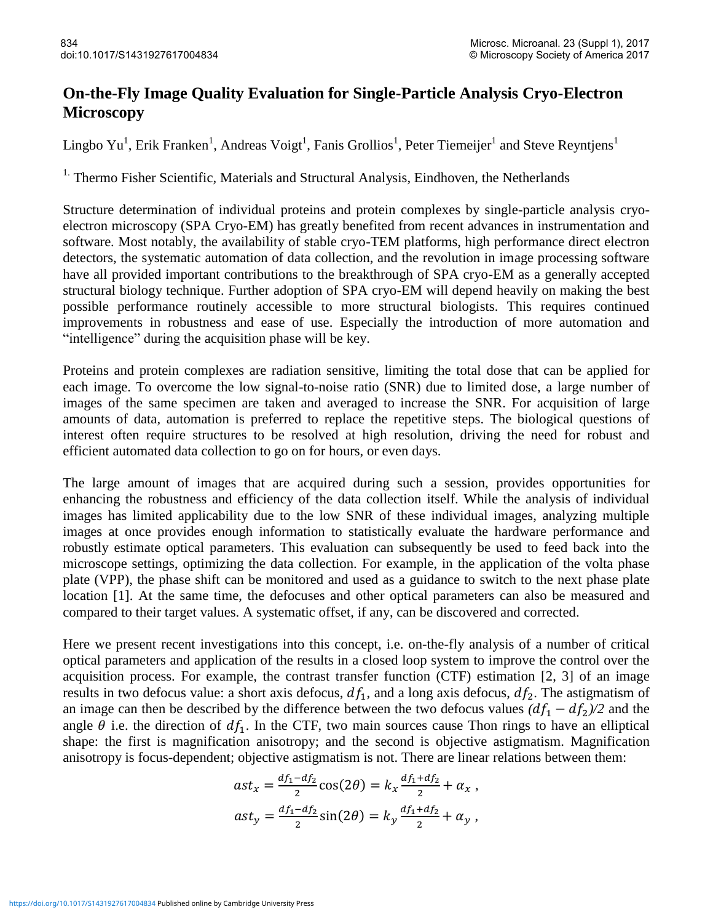## **On-the-Fly Image Quality Evaluation for Single-Particle Analysis Cryo-Electron Microscopy**

Lingbo Yu<sup>1</sup>, Erik Franken<sup>1</sup>, Andreas Voigt<sup>1</sup>, Fanis Grollios<sup>1</sup>, Peter Tiemeijer<sup>1</sup> and Steve Reyntjens<sup>1</sup>

<sup>1.</sup> Thermo Fisher Scientific, Materials and Structural Analysis, Eindhoven, the Netherlands

Structure determination of individual proteins and protein complexes by single-particle analysis cryoelectron microscopy (SPA Cryo-EM) has greatly benefited from recent advances in instrumentation and software. Most notably, the availability of stable cryo-TEM platforms, high performance direct electron detectors, the systematic automation of data collection, and the revolution in image processing software have all provided important contributions to the breakthrough of SPA cryo-EM as a generally accepted structural biology technique. Further adoption of SPA cryo-EM will depend heavily on making the best possible performance routinely accessible to more structural biologists. This requires continued improvements in robustness and ease of use. Especially the introduction of more automation and "intelligence" during the acquisition phase will be key.

Proteins and protein complexes are radiation sensitive, limiting the total dose that can be applied for each image. To overcome the low signal-to-noise ratio (SNR) due to limited dose, a large number of images of the same specimen are taken and averaged to increase the SNR. For acquisition of large amounts of data, automation is preferred to replace the repetitive steps. The biological questions of interest often require structures to be resolved at high resolution, driving the need for robust and efficient automated data collection to go on for hours, or even days.

The large amount of images that are acquired during such a session, provides opportunities for enhancing the robustness and efficiency of the data collection itself. While the analysis of individual images has limited applicability due to the low SNR of these individual images, analyzing multiple images at once provides enough information to statistically evaluate the hardware performance and robustly estimate optical parameters. This evaluation can subsequently be used to feed back into the microscope settings, optimizing the data collection. For example, in the application of the volta phase plate (VPP), the phase shift can be monitored and used as a guidance to switch to the next phase plate location [1]. At the same time, the defocuses and other optical parameters can also be measured and compared to their target values. A systematic offset, if any, can be discovered and corrected.

Here we present recent investigations into this concept, i.e. on-the-fly analysis of a number of critical optical parameters and application of the results in a closed loop system to improve the control over the acquisition process. For example, the contrast transfer function (CTF) estimation [2, 3] of an image results in two defocus value: a short axis defocus,  $df_1$ , and a long axis defocus,  $df_2$ . The astigmatism of an image can then be described by the difference between the two defocus values  $(df_1 - df_2)/2$  and the angle  $\theta$  i.e. the direction of  $df_1$ . In the CTF, two main sources cause Thon rings to have an elliptical shape: the first is magnification anisotropy; and the second is objective astigmatism. Magnification anisotropy is focus-dependent; objective astigmatism is not. There are linear relations between them:

$$
ast_x = \frac{df_1 - df_2}{2} \cos(2\theta) = k_x \frac{df_1 + df_2}{2} + \alpha_x ,
$$
  

$$
ast_y = \frac{df_1 - df_2}{2} \sin(2\theta) = k_y \frac{df_1 + df_2}{2} + \alpha_y ,
$$